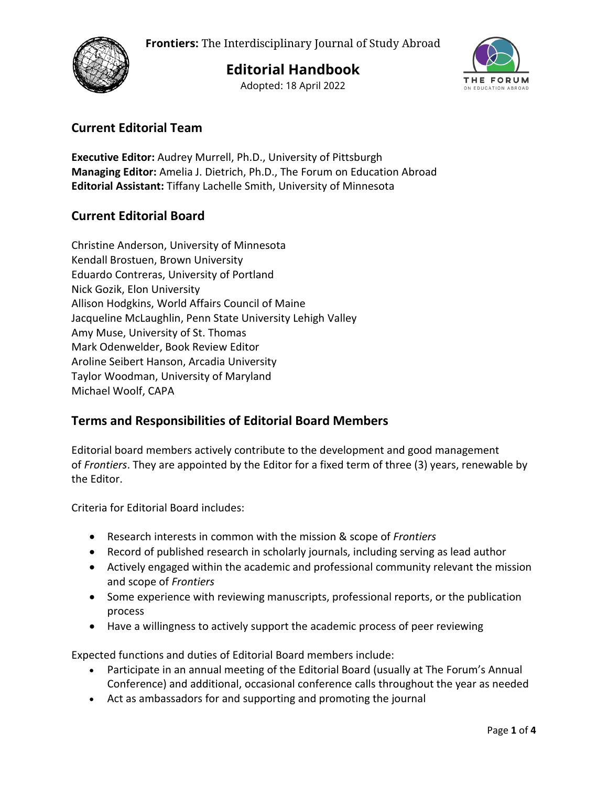

**Editorial Handbook**

Adopted: 18 April 2022



## **Current Editorial Team**

**Executive Editor:** Audrey Murrell, Ph.D., University of Pittsburgh **Managing Editor:** Amelia J. Dietrich, Ph.D., The Forum on Education Abroad **Editorial Assistant:** Tiffany Lachelle Smith, University of Minnesota

## **Current Editorial Board**

Christine Anderson, University of Minnesota Kendall Brostuen, Brown University Eduardo Contreras, University of Portland Nick Gozik, Elon University Allison Hodgkins, World Affairs Council of Maine Jacqueline McLaughlin, Penn State University Lehigh Valley Amy Muse, University of St. Thomas Mark Odenwelder, Book Review Editor Aroline Seibert Hanson, Arcadia University Taylor Woodman, University of Maryland Michael Woolf, CAPA

## **Terms and Responsibilities of Editorial Board Members**

Editorial board members actively contribute to the development and good management of *Frontiers*. They are appointed by the Editor for a fixed term of three (3) years, renewable by the Editor.

Criteria for Editorial Board includes:

- Research interests in common with the mission & scope of *Frontiers*
- Record of published research in scholarly journals, including serving as lead author
- Actively engaged within the academic and professional community relevant the mission and scope of *Frontiers*
- Some experience with reviewing manuscripts, professional reports, or the publication process
- Have a willingness to actively support the academic process of peer reviewing

Expected functions and duties of Editorial Board members include:

- Participate in an annual meeting of the Editorial Board (usually at The Forum's Annual Conference) and additional, occasional conference calls throughout the year as needed
- Act as ambassadors for and supporting and promoting the journal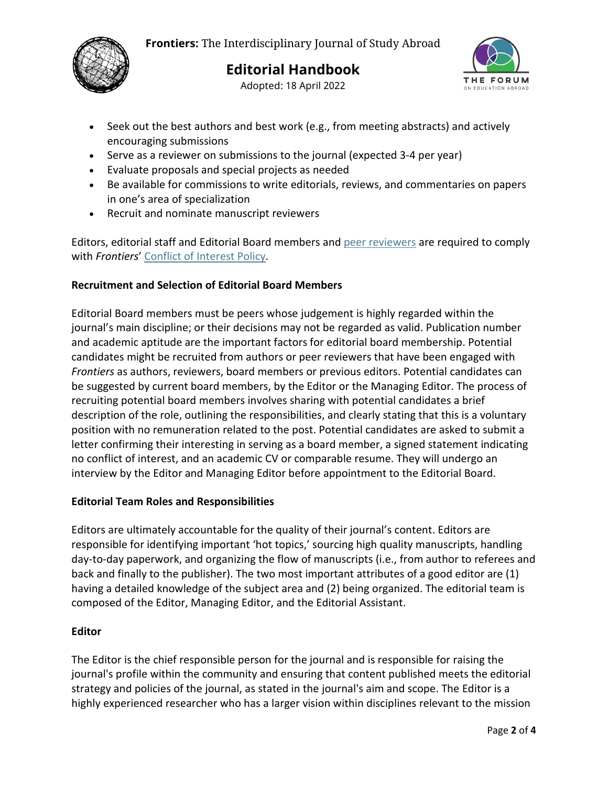

# **Editorial Handbook**

Adopted: 18 April 2022



- Seek out the best authors and best work (e.g., from meeting abstracts) and actively encouraging submissions
- Serve as a reviewer on submissions to the journal (expected 3-4 per year)
- Evaluate proposals and special projects as needed
- Be available for commissions to write editorials, reviews, and commentaries on papers in one's area of specialization
- Recruit and nominate manuscript reviewers

Editors, editorial staff and Editorial Board members and [peer reviewers](https://www.frontiersjournal.org/index.php/Frontiers/peer-reviewers) are required to comply with *Frontiers*' [Conflict of Interest Policy.](https://forumea.org/wp-content/uploads/2020/09/Conflict-of-Interest-Policy.pdf)

#### **Recruitment and Selection of Editorial Board Members**

Editorial Board members must be peers whose judgement is highly regarded within the journal's main discipline; or their decisions may not be regarded as valid. Publication number and academic aptitude are the important factors for editorial board membership. Potential candidates might be recruited from authors or peer reviewers that have been engaged with *Frontiers* as authors, reviewers, board members or previous editors. Potential candidates can be suggested by current board members, by the Editor or the Managing Editor. The process of recruiting potential board members involves sharing with potential candidates a brief description of the role, outlining the responsibilities, and clearly stating that this is a voluntary position with no remuneration related to the post. Potential candidates are asked to submit a letter confirming their interesting in serving as a board member, a signed statement indicating no conflict of interest, and an academic CV or comparable resume. They will undergo an interview by the Editor and Managing Editor before appointment to the Editorial Board.

#### **Editorial Team Roles and Responsibilities**

Editors are ultimately accountable for the quality of their journal's content. Editors are responsible for identifying important 'hot topics,' sourcing high quality manuscripts, handling day-to-day paperwork, and organizing the flow of manuscripts (i.e., from author to referees and back and finally to the publisher). The two most important attributes of a good editor are (1) having a detailed knowledge of the subject area and (2) being organized. The editorial team is composed of the Editor, Managing Editor, and the Editorial Assistant.

#### **Editor**

The Editor is the chief responsible person for the journal and is responsible for raising the journal's profile within the community and ensuring that content published meets the editorial strategy and policies of the journal, as stated in the journal's aim and scope. The Editor is a highly experienced researcher who has a larger vision within disciplines relevant to the mission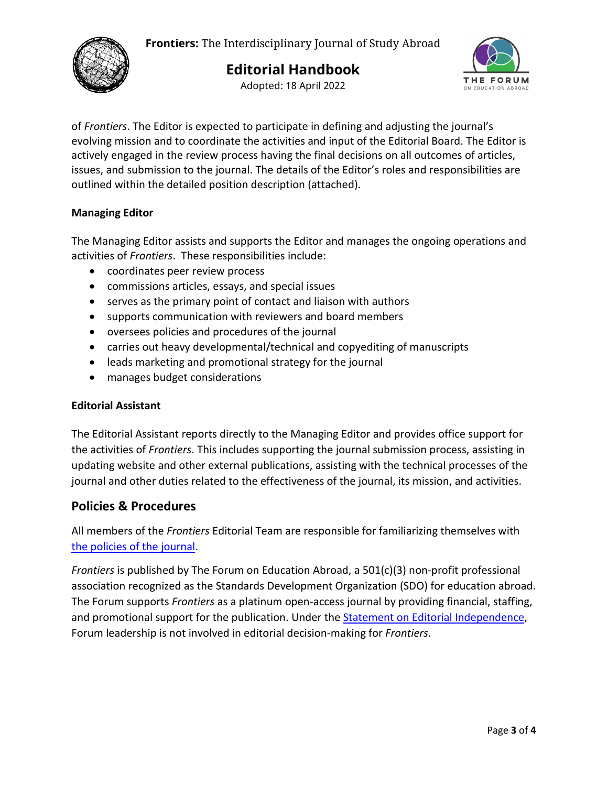

Adopted: 18 April 2022



of *Frontiers*. The Editor is expected to participate in defining and adjusting the journal's evolving mission and to coordinate the activities and input of the Editorial Board. The Editor is actively engaged in the review process having the final decisions on all outcomes of articles, issues, and submission to the journal. The details of the Editor's roles and responsibilities are outlined within the detailed position description (attached).

#### **Managing Editor**

The Managing Editor assists and supports the Editor and manages the ongoing operations and activities of *Frontiers*. These responsibilities include:

- coordinates peer review process
- commissions articles, essays, and special issues
- serves as the primary point of contact and liaison with authors
- supports communication with reviewers and board members
- oversees policies and procedures of the journal
- carries out heavy developmental/technical and copyediting of manuscripts
- leads marketing and promotional strategy for the journal
- manages budget considerations

#### **Editorial Assistant**

The Editorial Assistant reports directly to the Managing Editor and provides office support for the activities of *Frontiers*. This includes supporting the journal submission process, assisting in updating website and other external publications, assisting with the technical processes of the journal and other duties related to the effectiveness of the journal, its mission, and activities.

### **Policies & Procedures**

All members of the *Frontiers* Editorial Team are responsible for familiarizing themselves with [the policies of the journal.](https://frontiersjournal.org/index.php/Frontiers/policies)

*Frontiers* is published by The Forum on Education Abroad, a 501(c)(3) non-profit professional association recognized as the Standards Development Organization (SDO) for education abroad. The Forum supports *Frontiers* as a platinum open-access journal by providing financial, staffing, and promotional support for the publication. Under the **Statement on Editorial Independence**, Forum leadership is not involved in editorial decision-making for *Frontiers*.